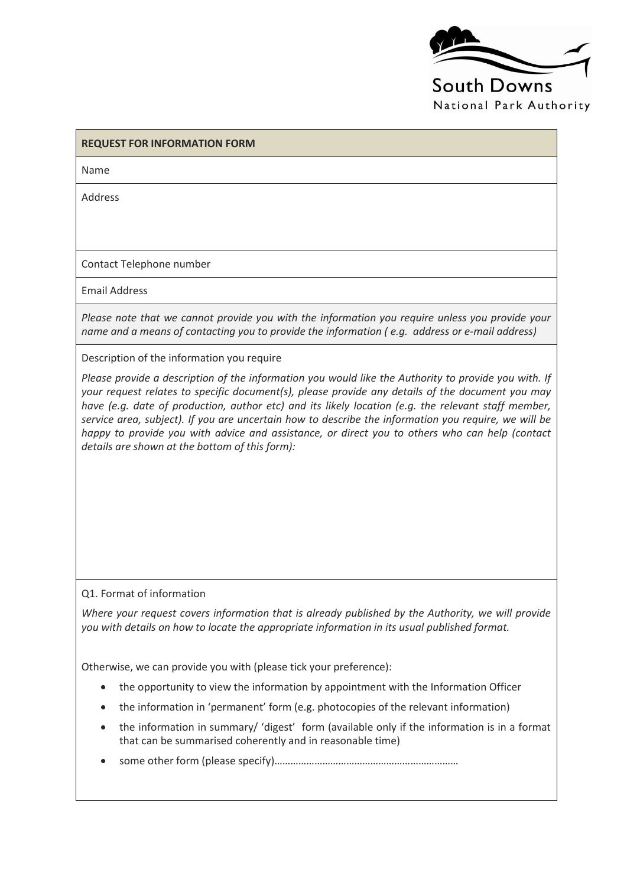

## **REQUEST FOR INFORMATION FORM**

Name

Address

Contact Telephone number

Email Address

*Please note that we cannot provide you with the information you require unless you provide your name and a means of contacting you to provide the information ( e.g. address or e-mail address)* 

Description of the information you require

*Please provide a description of the information you would like the Authority to provide you with. If your request relates to specific document(s), please provide any details of the document you may have (e.g. date of production, author etc) and its likely location (e.g. the relevant staff member, service area, subject). If you are uncertain how to describe the information you require, we will be happy to provide you with advice and assistance, or direct you to others who can help (contact details are shown at the bottom of this form):*

## Q1. Format of information

*Where your request covers information that is already published by the Authority, we will provide you with details on how to locate the appropriate information in its usual published format.*

Otherwise, we can provide you with (please tick your preference):

- the opportunity to view the information by appointment with the Information Officer
- the information in 'permanent' form (e.g. photocopies of the relevant information)
- the information in summary/ 'digest' form (available only if the information is in a format that can be summarised coherently and in reasonable time)
- some other form (please specify)……………………………………………………………